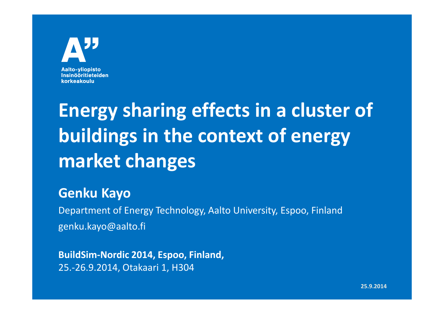#### Aalto-vliopisto **Insinööritieteiden** korkeakoulu

# **Energy sharing effects in a cluster of buildings in the context of energy market changes**

#### **Genku Kayo**

 Department of Energy Technology, Aalto University, Espoo, Finlandgenku.kayo@aalto.fi

**BuildSim-Nordic 2014, Espoo, Finland,** 25.-26.9.2014, Otakaari 1, H304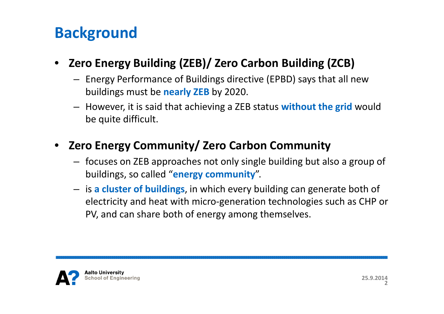#### **Background**

#### • **Zero Energy Building (ZEB)/ Zero Carbon Building (ZCB)**

- Energy Performance of Buildings directive (EPBD) says that all new buildings must be **nearly ZEB** by 2020.
- However, it is said that achieving a ZEB status **without the grid** would be quite difficult.

#### • **Zero Energy Community/ Zero Carbon Community**

- focuses on ZEB approaches not only single building but also a group of buildings, so called "**energy community**".
- is **a cluster of buildings**, in which every building can generate both of electricity and heat with micro-generation technologies such as CHP or PV, and can share both of energy among themselves.

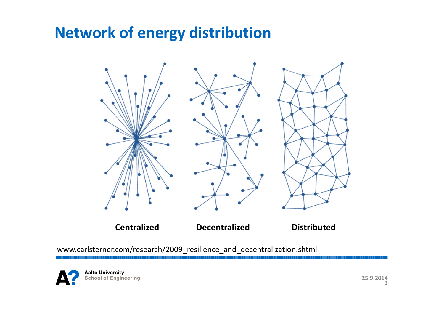#### **Network of energy distribution**



www.carlsterner.com/research/2009\_resilience\_and\_decentralization.shtml

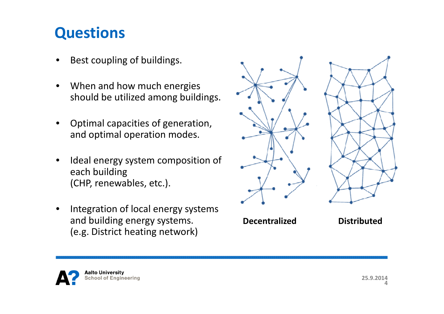#### **Questions**

- •Best coupling of buildings.
- • When and how much energies should be utilized among buildings.
- • Optimal capacities of generation, and optimal operation modes.
- • Ideal energy system composition of each building(CHP, renewables, etc.).
- • Integration of local energy systems and building energy systems.(e.g. District heating network)

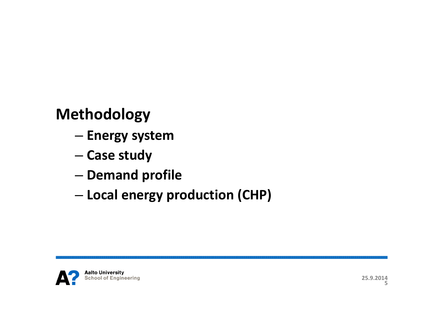### **Methodology**

- and the state of the state **Energy system**
- and the state of the state **Case study**
- and the state of the state **- Demand profile**
- –**Local energy production (CHP)**

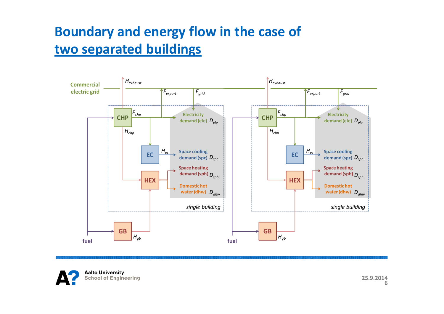#### **Boundary and energy flow in the case oftwo separated buildings**



**Aalto University School of Engineering**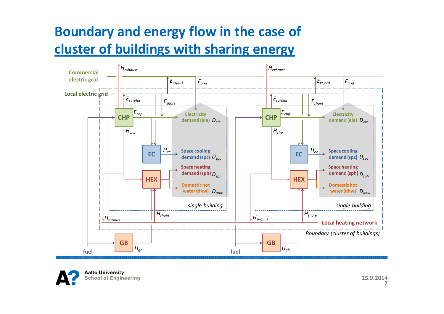#### **Boundary and energy flow in the case of cluster of buildings with sharing energy**

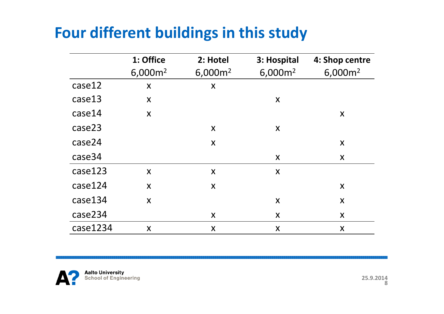### **Four different buildings in this study**

|          | 1: Office        | 2: Hotel                  | 3: Hospital               | 4: Shop centre            |
|----------|------------------|---------------------------|---------------------------|---------------------------|
|          | $6,000m^2$       | 6,000m <sup>2</sup>       | 6,000m <sup>2</sup>       | $6,000m^2$                |
| case12   | X                | $\boldsymbol{\mathsf{X}}$ |                           |                           |
| case13   | X                |                           | X                         |                           |
| case14   | $\boldsymbol{X}$ |                           |                           | $\boldsymbol{X}$          |
| case23   |                  | X                         | X                         |                           |
| case24   |                  | X                         |                           | X                         |
| case34   |                  |                           | X                         | X                         |
| case123  | $\boldsymbol{X}$ | $\boldsymbol{\mathsf{X}}$ | $\boldsymbol{\mathsf{X}}$ |                           |
| case124  | $\boldsymbol{X}$ | $\boldsymbol{X}$          |                           | $\boldsymbol{\mathsf{X}}$ |
| case134  | X                |                           | X                         | $\boldsymbol{\mathsf{X}}$ |
| case234  |                  | X                         | X                         | X                         |
| case1234 | X                | X                         | X                         | X                         |

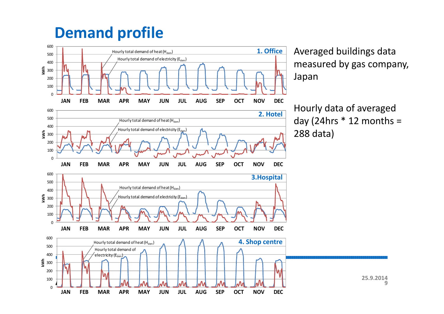#### **Demand profile**



Averaged buildings data measured by gas company,

Hourly data of averaged day (24hrs  $*$  12 months =

**25.9.2014**

**9**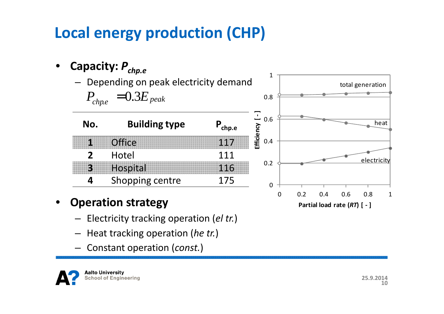# **Local energy production (CHP)**

•**Capacity:**  *<sup>P</sup>chp.e*

**1**

**2**

**3**

**4**

 $P_{chp.e}=0.3E_{\it peak}$ 

– Depending on peak electricity demand



1

- • **Operation strategy**
	- Electricity tracking operation (*el tr.*)
	- Heat tracking operation (*he tr.*)
	- Constant operation (*const.*)

**Aalto University School of Engineering** 

**25.9.201410**

**Partial load rate (***RT***) [ - ]**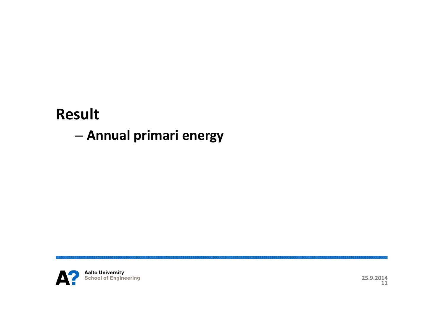#### **Result**

#### and the state of the state **Annual primari energy**

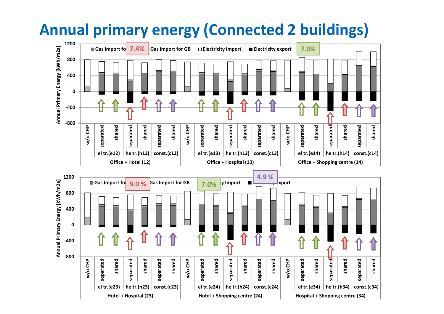#### **Annual primary energy (Connected 2 buildings)**

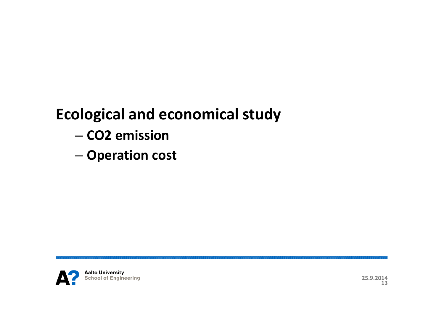### **Ecological and economical study**

- and the state of the state **CO2 emission**
- and the state of the state **Operation cost**

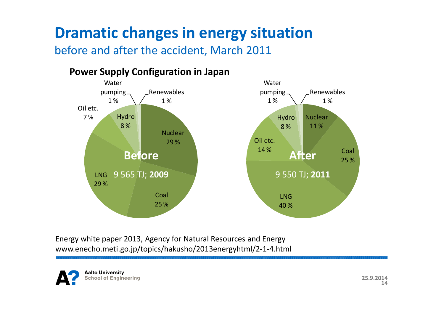## **Dramatic changes in energy situation**

before and after the accident, March 2011



Energy white paper 2013, Agency for Natural Resources and Energy www.enecho.meti.go.jp/topics/hakusho/2013energyhtml/2-1-4.html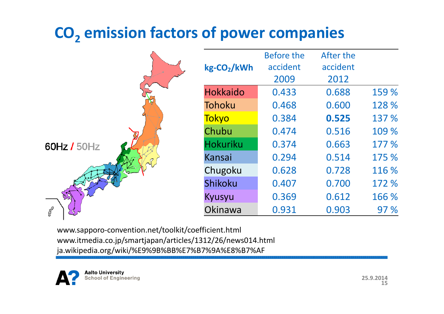# **CO2 emission factors of power companies**



|                  | <b>Before the</b> | After the |       |
|------------------|-------------------|-----------|-------|
| $kg$ - $CO2/kWh$ | accident          | accident  |       |
|                  | 2009              | 2012      |       |
| <b>Hokkaido</b>  | 0.433             | 0.688     | 159 % |
| Tohoku           | 0.468             | 0.600     | 128 % |
| <b>Tokyo</b>     | 0.384             | 0.525     | 137 % |
| Chubu            | 0.474             | 0.516     | 109 % |
| <b>Hokuriku</b>  | 0.374             | 0.663     | 177 % |
| Kansai           | 0.294             | 0.514     | 175 % |
| Chugoku          | 0.628             | 0.728     | 116 % |
| Shikoku          | 0.407             | 0.700     | 172 % |
| Kyusyu           | 0.369             | 0.612     | 166 % |
| Okinawa          | 0.931             | 0.903     | 97 %  |

www.sapporo-convention.net/toolkit/coefficient.htmlwww.itmedia.co.jp/smartjapan/articles/1312/26/news014.htmlja.wikipedia.org/wiki/%E9%9B%BB%E7%B7%9A%E8%B7%AF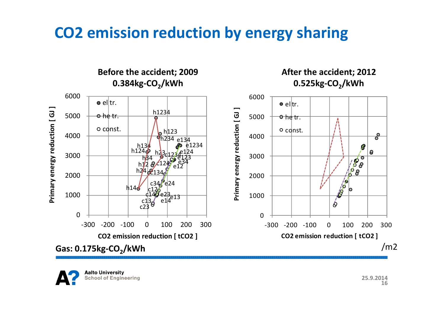#### **CO2 emission reduction by energy sharing**

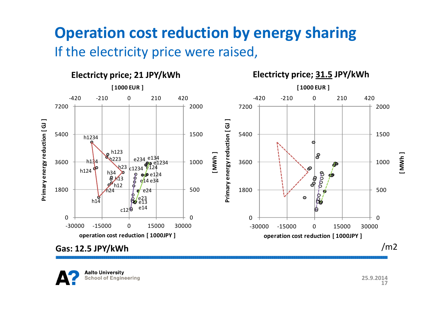#### **Operation cost reduction by energy sharing**If the electricity price were raised,



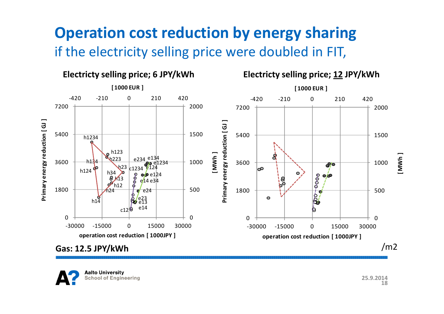#### **Operation cost reduction by energy sharing**if the electricity selling price were doubled in FIT,



**Aalto University School of Engineering**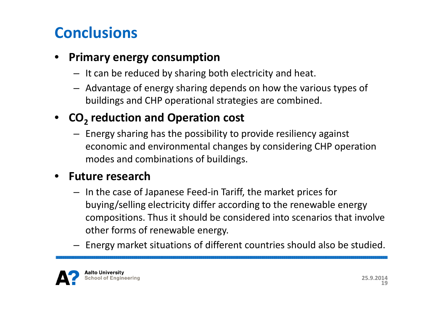### **Conclusions**

#### •**Primary energy consumption**

- It can be reduced by sharing both electricity and heat.
- Advantage of energy sharing depends on how the various types of buildings and CHP operational strategies are combined.

## • **CO<sup>2</sup> reduction and Operation cost**

– Energy sharing has the possibility to provide resiliency against economic and environmental changes by considering CHP operation modes and combinations of buildings.

#### $\bullet$ **Future research**

- In the case of Japanese Feed-in Tariff, the market prices for buying/selling electricity differ according to the renewable energy compositions. Thus it should be considered into scenarios that involve other forms of renewable energy.
- Energy market situations of different countries should also be studied.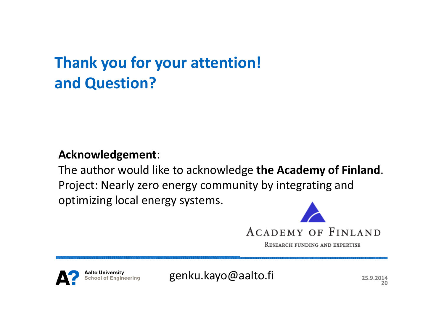## **Thank you for your attention!and Question?**

#### **Acknowledgement**:

The author would like to acknowledge **the Academy of Finland**. Project: Nearly zero energy community by integrating and optimizing local energy systems.



RESEARCH FUNDING AND EXPERTISE

**alto University** chool of Engineering

genku.kayo@aalto.fi